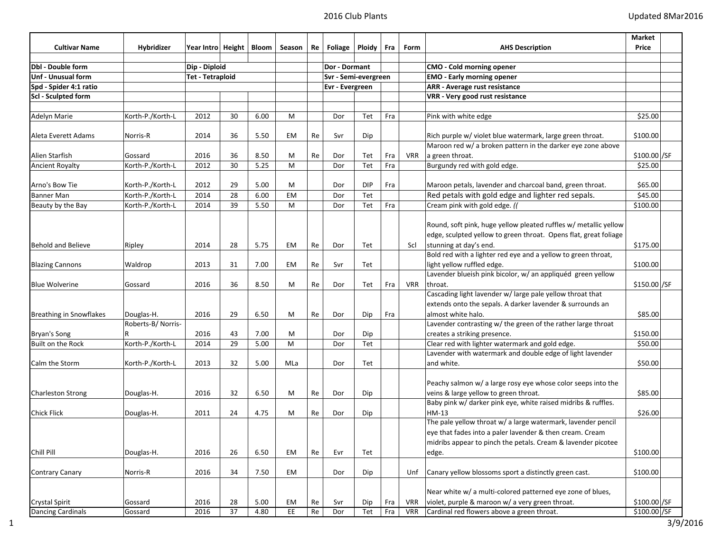|                            |                   |                             |    |      |           |          |                      |               |     |            |                                                                  | Market        |
|----------------------------|-------------------|-----------------------------|----|------|-----------|----------|----------------------|---------------|-----|------------|------------------------------------------------------------------|---------------|
| <b>Cultivar Name</b>       | <b>Hybridizer</b> | Year Intro   Height   Bloom |    |      | Season    | Re       | Foliage              | <b>Ploidy</b> | Fra | Form       | <b>AHS Description</b>                                           | Price         |
| <b>Dbl</b> - Double form   |                   | Dip - Diploid               |    |      |           |          | Dor - Dormant        |               |     |            | <b>CMO - Cold morning opener</b>                                 |               |
| <b>Unf - Unusual form</b>  |                   | <b>Tet - Tetraploid</b>     |    |      |           |          | Svr - Semi-evergreen |               |     |            | <b>EMO - Early morning opener</b>                                |               |
| Spd - Spider 4:1 ratio     |                   |                             |    |      |           |          | Evr - Evergreen      |               |     |            | ARR - Average rust resistance                                    |               |
| <b>Scl</b> - Sculpted form |                   |                             |    |      |           |          |                      |               |     |            | VRR - Very good rust resistance                                  |               |
|                            |                   |                             |    |      |           |          |                      |               |     |            |                                                                  |               |
| Adelyn Marie               | Korth-P./Korth-L  | 2012                        | 30 | 6.00 | M         |          | Dor                  | Tet           | Fra |            | Pink with white edge                                             | \$25.00       |
|                            |                   |                             |    |      |           |          |                      |               |     |            |                                                                  |               |
| Aleta Everett Adams        | Norris-R          | 2014                        | 36 | 5.50 | EM        | Re       | Svr                  | Dip           |     |            | Rich purple w/ violet blue watermark, large green throat.        | \$100.00      |
|                            |                   |                             |    |      |           |          |                      |               |     |            | Maroon red w/ a broken pattern in the darker eye zone above      |               |
| Alien Starfish             | Gossard           | 2016                        | 36 | 8.50 | М         | Re       | Dor                  | Tet           | Fra | VRR        | a green throat.                                                  | \$100.00 / SF |
| <b>Ancient Royalty</b>     | Korth-P./Korth-L  | 2012                        | 30 | 5.25 | M         |          | Dor                  | Tet           | Fra |            | Burgundy red with gold edge.                                     | \$25.00       |
| Arno's Bow Tie             | Korth-P./Korth-L  | 2012                        | 29 | 5.00 | М         |          | Dor                  | <b>DIP</b>    | Fra |            | Maroon petals, lavender and charcoal band, green throat.         | \$65.00       |
| <b>Banner Man</b>          | Korth-P./Korth-L  | 2014                        | 28 | 6.00 | <b>EM</b> |          | Dor                  | Tet           |     |            | Red petals with gold edge and lighter red sepals.                | \$45.00       |
| Beauty by the Bay          | Korth-P./Korth-L  | 2014                        | 39 | 5.50 | M         |          | Dor                  | Tet           | Fra |            | Cream pink with gold edge. (                                     | \$100.00      |
|                            |                   |                             |    |      |           |          |                      |               |     |            |                                                                  |               |
|                            |                   |                             |    |      |           |          |                      |               |     |            | Round, soft pink, huge yellow pleated ruffles w/ metallic yellow |               |
|                            |                   |                             |    |      |           |          |                      |               |     |            | edge, sculpted yellow to green throat. Opens flat, great foliage |               |
| <b>Behold and Believe</b>  | Ripley            | 2014                        | 28 | 5.75 | EM        | Re       | Dor                  | Tet           |     | Scl        | stunning at day's end.                                           | \$175.00      |
|                            |                   |                             |    |      |           |          |                      |               |     |            | Bold red with a lighter red eye and a yellow to green throat,    |               |
| <b>Blazing Cannons</b>     | Waldrop           | 2013                        | 31 | 7.00 | EM        | Re       | Svr                  | Tet           |     |            | light yellow ruffled edge.                                       | \$100.00      |
|                            |                   |                             |    |      |           |          |                      |               |     |            | Lavender blueish pink bicolor, w/ an appliquéd green yellow      |               |
| <b>Blue Wolverine</b>      | Gossard           | 2016                        | 36 | 8.50 | М         | Re       | Dor                  | Tet           | Fra | <b>VRR</b> | throat.                                                          | \$150.00 / SF |
|                            |                   |                             |    |      |           |          |                      |               |     |            | Cascading light lavender w/ large pale yellow throat that        |               |
|                            |                   |                             |    |      |           |          |                      |               |     |            | extends onto the sepals. A darker lavender & surrounds an        |               |
| Breathing in Snowflakes    | Douglas-H.        | 2016                        | 29 | 6.50 | М         | Re       | Dor                  | Dip           | Fra |            | almost white halo.                                               | \$85.00       |
|                            | Roberts-B/Norris- |                             |    |      |           |          |                      |               |     |            | Lavender contrasting w/ the green of the rather large throat     |               |
| Bryan's Song               |                   | 2016                        | 43 | 7.00 | М         |          | Dor                  | Dip           |     |            | creates a striking presence.                                     | \$150.00      |
| Built on the Rock          | Korth-P./Korth-L  | 2014                        | 29 | 5.00 | M         |          | Dor                  | Tet           |     |            | Clear red with lighter watermark and gold edge.                  | \$50.00       |
|                            |                   |                             |    |      |           |          |                      |               |     |            | Lavender with watermark and double edge of light lavender        |               |
| Calm the Storm             | Korth-P./Korth-L  | 2013                        | 32 | 5.00 | MLa       |          | Dor                  | Tet           |     |            | and white.                                                       | \$50.00       |
|                            |                   |                             |    |      |           |          |                      |               |     |            | Peachy salmon w/ a large rosy eye whose color seeps into the     |               |
| <b>Charleston Strong</b>   | Douglas-H.        | 2016                        | 32 | 6.50 | М         | Re       | Dor                  | Dip           |     |            | veins & large yellow to green throat.                            | \$85.00       |
|                            |                   |                             |    |      |           |          |                      |               |     |            | Baby pink w/ darker pink eye, white raised midribs & ruffles.    |               |
| <b>Chick Flick</b>         | Douglas-H.        | 2011                        | 24 | 4.75 | М         | Re       | Dor                  | Dip           |     |            | HM-13                                                            | \$26.00       |
|                            |                   |                             |    |      |           |          |                      |               |     |            | The pale yellow throat w/ a large watermark, lavender pencil     |               |
|                            |                   |                             |    |      |           |          |                      |               |     |            | eye that fades into a paler lavender & then cream. Cream         |               |
|                            |                   |                             |    |      |           |          |                      |               |     |            | midribs appear to pinch the petals. Cream & lavender picotee     |               |
| Chill Pill                 | Douglas-H.        | 2016                        | 26 | 6.50 | EM        | Re       | Evr                  | Tet           |     |            | edge.                                                            | \$100.00      |
|                            |                   |                             |    |      |           |          |                      |               |     |            |                                                                  |               |
| Contrary Canary            | Norris-R          | 2016                        | 34 | 7.50 | EM        |          | Dor                  | Dip           |     | Unf        | Canary yellow blossoms sport a distinctly green cast.            | \$100.00      |
|                            |                   |                             |    |      |           |          |                      |               |     |            | Near white w/ a multi-colored patterned eye zone of blues,       |               |
| <b>Crystal Spirit</b>      | Gossard           | 2016                        | 28 | 5.00 | EM        | Re       | Svr                  | Dip           | Fra | <b>VRR</b> | violet, purple & maroon w/ a very green throat.                  | \$100.00 / SF |
| Dancing Cardinals          | Gossard           | 2016                        | 37 | 4.80 | EE        | $\sf Re$ | Dor                  | Tet           | Fra | <b>VRR</b> | Cardinal red flowers above a green throat.                       | \$100.00 /SF  |
|                            |                   |                             |    |      |           |          |                      |               |     |            |                                                                  |               |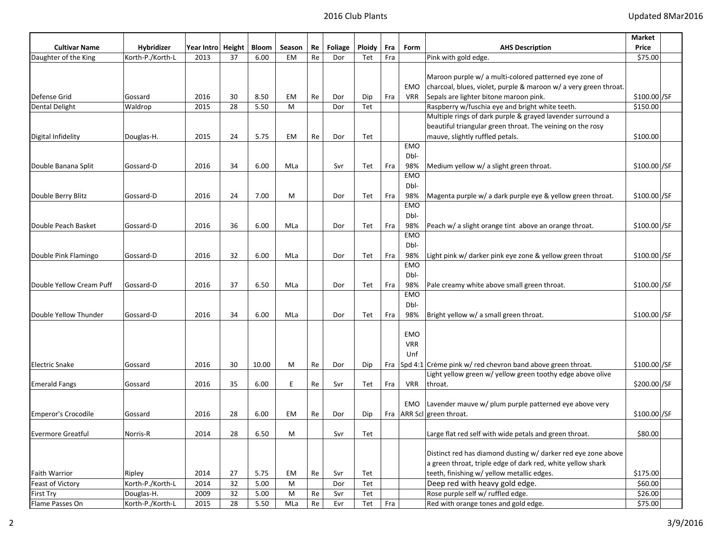|                          |                   |                    |    |       |        |    |         |               |     |            |                                                                  | Market        |  |
|--------------------------|-------------------|--------------------|----|-------|--------|----|---------|---------------|-----|------------|------------------------------------------------------------------|---------------|--|
| <b>Cultivar Name</b>     | <b>Hybridizer</b> | Year Intro  Height |    | Bloom | Season | Re | Foliage | <b>Ploidy</b> | Fra | Form       | <b>AHS Description</b>                                           | Price         |  |
| Daughter of the King     | Korth-P./Korth-L  | 2013               | 37 | 6.00  | EM     | Re | Dor     | Tet           | Fra |            | Pink with gold edge.                                             | \$75.00       |  |
|                          |                   |                    |    |       |        |    |         |               |     |            |                                                                  |               |  |
|                          |                   |                    |    |       |        |    |         |               |     |            | Maroon purple w/ a multi-colored patterned eye zone of           |               |  |
|                          |                   |                    |    |       |        |    |         |               |     | EMO        | charcoal, blues, violet, purple & maroon w/ a very green throat. |               |  |
| Defense Grid             | Gossard           | 2016               | 30 | 8.50  | EM     | Re | Dor     | Dip           | Fra | VRR        | Sepals are lighter bitone maroon pink.                           | \$100.00 / SF |  |
| Dental Delight           | Waldrop           | 2015               | 28 | 5.50  | M      |    | Dor     | Tet           |     |            | Raspberry w/fuschia eye and bright white teeth.                  | \$150.00      |  |
|                          |                   |                    |    |       |        |    |         |               |     |            | Multiple rings of dark purple & grayed lavender surround a       |               |  |
|                          |                   |                    |    |       |        |    |         |               |     |            | beautiful triangular green throat. The veining on the rosy       |               |  |
| Digital Infidelity       | Douglas-H.        | 2015               | 24 | 5.75  | EM     | Re | Dor     | Tet           |     |            | mauve, slightly ruffled petals.                                  | \$100.00      |  |
|                          |                   |                    |    |       |        |    |         |               |     | <b>EMO</b> |                                                                  |               |  |
|                          |                   |                    |    |       |        |    |         |               |     | Dbl-       |                                                                  |               |  |
| Double Banana Split      | Gossard-D         | 2016               | 34 | 6.00  | MLa    |    | Svr     | Tet           | Fra | 98%        | Medium yellow w/ a slight green throat.                          | \$100.00 / SF |  |
|                          |                   |                    |    |       |        |    |         |               |     | <b>EMO</b> |                                                                  |               |  |
|                          |                   |                    |    |       |        |    |         |               |     | Dbl-       |                                                                  |               |  |
| Double Berry Blitz       | Gossard-D         | 2016               | 24 | 7.00  | M      |    | Dor     | Tet           | Fra | 98%        | Magenta purple w/ a dark purple eye & yellow green throat.       | \$100.00]/SF  |  |
|                          |                   |                    |    |       |        |    |         |               |     | EMO        |                                                                  |               |  |
|                          |                   |                    |    |       |        |    |         |               |     | Dbl-       |                                                                  |               |  |
| Double Peach Basket      | Gossard-D         | 2016               | 36 | 6.00  | MLa    |    | Dor     | Tet           | Fra | 98%        | Peach w/ a slight orange tint above an orange throat.            | \$100.00 / SF |  |
|                          |                   |                    |    |       |        |    |         |               |     | <b>EMO</b> |                                                                  |               |  |
|                          |                   |                    |    |       |        |    |         |               |     | Dbl-       |                                                                  |               |  |
| Double Pink Flamingo     | Gossard-D         | 2016               | 32 | 6.00  | MLa    |    | Dor     | Tet           | Fra | 98%        | Light pink w/ darker pink eye zone & yellow green throat         | \$100.00 / SF |  |
|                          |                   |                    |    |       |        |    |         |               |     | <b>EMO</b> |                                                                  |               |  |
|                          |                   |                    |    |       |        |    |         |               |     | Dbl-       |                                                                  |               |  |
| Double Yellow Cream Puff | Gossard-D         | 2016               | 37 | 6.50  | MLa    |    | Dor     | Tet           | Fra | 98%        | Pale creamy white above small green throat.                      | \$100.00 / SF |  |
|                          |                   |                    |    |       |        |    |         |               |     | <b>EMO</b> |                                                                  |               |  |
|                          |                   |                    |    |       |        |    |         |               |     | Dbl-       |                                                                  |               |  |
| Double Yellow Thunder    | Gossard-D         | 2016               | 34 | 6.00  | MLa    |    | Dor     | Tet           | Fra | 98%        | Bright yellow w/ a small green throat.                           | \$100.00 / SF |  |
|                          |                   |                    |    |       |        |    |         |               |     |            |                                                                  |               |  |
|                          |                   |                    |    |       |        |    |         |               |     | <b>EMO</b> |                                                                  |               |  |
|                          |                   |                    |    |       |        |    |         |               |     | <b>VRR</b> |                                                                  |               |  |
|                          |                   |                    |    |       |        |    |         |               |     | Unf        |                                                                  |               |  |
| <b>Electric Snake</b>    | Gossard           | 2016               | 30 | 10.00 | М      | Re | Dor     | Dip           | Fra |            | Spd 4:1 Crème pink w/ red chevron band above green throat.       | \$100.00]/SF  |  |
|                          |                   |                    |    |       |        |    |         |               |     |            | Light yellow green w/ yellow green toothy edge above olive       |               |  |
| <b>Emerald Fangs</b>     | Gossard           | 2016               | 35 | 6.00  | E.     | Re | Svr     | Tet           | Fra | <b>VRR</b> | throat.                                                          | \$200.00 / SF |  |
|                          |                   |                    |    |       |        |    |         |               |     |            |                                                                  |               |  |
|                          |                   |                    |    |       |        |    |         |               |     | EMO        | Lavender mauve w/ plum purple patterned eye above very           |               |  |
| Emperor's Crocodile      | Gossard           | 2016               | 28 | 6.00  | EM     | Re | Dor     | Dip           |     |            | Fra   ARR Scl   green throat.                                    | \$100.00]/SF  |  |
|                          |                   |                    |    |       |        |    |         |               |     |            |                                                                  |               |  |
| <b>Evermore Greatful</b> | Norris-R          | 2014               | 28 | 6.50  | M      |    | Svr     | Tet           |     |            | Large flat red self with wide petals and green throat.           | \$80.00       |  |
|                          |                   |                    |    |       |        |    |         |               |     |            |                                                                  |               |  |
|                          |                   |                    |    |       |        |    |         |               |     |            | Distinct red has diamond dusting w/ darker red eye zone above    |               |  |
|                          |                   |                    |    |       |        |    |         |               |     |            | a green throat, triple edge of dark red, white yellow shark      |               |  |
| <b>Faith Warrior</b>     | Ripley            | 2014               | 27 | 5.75  | EM     | Re | Svr     | Tet           |     |            | teeth, finishing w/ yellow metallic edges.                       | \$175.00      |  |
| Feast of Victory         | Korth-P./Korth-L  | 2014               | 32 | 5.00  | M      |    | Dor     | Tet           |     |            | Deep red with heavy gold edge.                                   | \$60.00       |  |
| First Try                | Douglas-H.        | 2009               | 32 | 5.00  | M      | Re | Svr     | Tet           |     |            | Rose purple self w/ ruffled edge.                                | \$26.00       |  |
| Flame Passes On          | Korth-P./Korth-L  | 2015               | 28 | 5.50  | MLa    | Re | Evr     | Tet           | Fra |            | Red with orange tones and gold edge.                             | \$75.00       |  |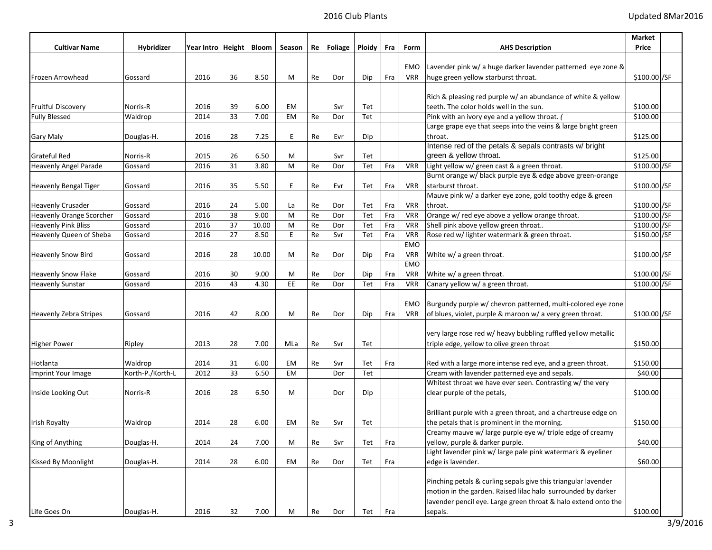|                                                        |                    |                             |          |              |           |          |            |            |            |                          |                                                                | Market                        |  |
|--------------------------------------------------------|--------------------|-----------------------------|----------|--------------|-----------|----------|------------|------------|------------|--------------------------|----------------------------------------------------------------|-------------------------------|--|
| <b>Cultivar Name</b>                                   | Hybridizer         | Year Intro   Height   Bloom |          |              | Season    | Re       | Foliage    | Ploidy     | Fra        | Form                     | <b>AHS Description</b>                                         | Price                         |  |
|                                                        |                    |                             |          |              |           |          |            |            |            | EMO                      | Lavender pink w/ a huge darker lavender patterned eye zone &   |                               |  |
|                                                        |                    | 2016                        | 36       | 8.50         |           |          |            |            | Fra        | <b>VRR</b>               |                                                                | \$100.00 / SF                 |  |
| Frozen Arrowhead                                       | Gossard            |                             |          |              | М         | Re       | Dor        | Dip        |            |                          | huge green yellow starburst throat.                            |                               |  |
|                                                        |                    |                             |          |              |           |          |            |            |            |                          | Rich & pleasing red purple w/ an abundance of white & yellow   |                               |  |
| <b>Fruitful Discovery</b>                              | Norris-R           | 2016                        | 39       | 6.00         | EM        |          | Svr        | Tet        |            |                          | teeth. The color holds well in the sun.                        | \$100.00                      |  |
| <b>Fully Blessed</b>                                   | Waldrop            | 2014                        | 33       | 7.00         | EM        | Re       | Dor        | Tet        |            |                          | Pink with an ivory eye and a yellow throat. (                  | \$100.00                      |  |
|                                                        |                    |                             |          |              |           |          |            |            |            |                          | Large grape eye that seeps into the veins & large bright green |                               |  |
| Gary Maly                                              | Douglas-H.         | 2016                        | 28       | 7.25         | E         | Re       | Evr        | Dip        |            |                          | throat.                                                        | \$125.00                      |  |
|                                                        |                    |                             |          |              |           |          |            |            |            |                          | Intense red of the petals & sepals contrasts w/ bright         |                               |  |
| <b>Grateful Red</b>                                    | Norris-R           | 2015                        | 26       | 6.50         | М         |          | Svr        | Tet        |            |                          | green & yellow throat.                                         | \$125.00                      |  |
| <b>Heavenly Angel Parade</b>                           | Gossard            | 2016                        | 31       | 3.80         | M         | Re       | Dor        | Tet        | Fra        | <b>VRR</b>               | Light yellow w/ green cast & a green throat.                   | \$100.00 / SF                 |  |
|                                                        |                    |                             |          |              |           |          |            |            |            |                          | Burnt orange w/ black purple eye & edge above green-orange     |                               |  |
| <b>Heavenly Bengal Tiger</b>                           | Gossard            | 2016                        | 35       | 5.50         | E         | Re       | Evr        | Tet        | Fra        | <b>VRR</b>               | starburst throat.                                              | \$100.00 / SF                 |  |
|                                                        |                    |                             |          |              |           |          |            |            |            |                          | Mauve pink w/ a darker eye zone, gold toothy edge & green      |                               |  |
| <b>Heavenly Crusader</b>                               | Gossard<br>Gossard | 2016<br>2016                | 24<br>38 | 5.00<br>9.00 | La<br>M   | Re<br>Re | Dor<br>Dor | Tet<br>Tet | Fra<br>Fra | <b>VRR</b><br><b>VRR</b> | throat.<br>Orange w/ red eye above a yellow orange throat.     | \$100.00 / SF<br>\$100.00 /SF |  |
| Heavenly Orange Scorcher<br><b>Heavenly Pink Bliss</b> | Gossard            | 2016                        | 37       | 10.00        | M         | Re       | Dor        | Tet        | Fra        | <b>VRR</b>               | Shell pink above yellow green throat                           | \$100.00 / SF                 |  |
| <b>Heavenly Queen of Sheba</b>                         | Gossard            | 2016                        | 27       | 8.50         | E.        | Re       | Svr        | Tet        | Fra        | <b>VRR</b>               | Rose red w/ lighter watermark & green throat.                  | \$150.00 / SF                 |  |
|                                                        |                    |                             |          |              |           |          |            |            |            | EMO                      |                                                                |                               |  |
| <b>Heavenly Snow Bird</b>                              | Gossard            | 2016                        | 28       | 10.00        | м         | Re       | Dor        | Dip        | Fra        | <b>VRR</b>               | White w/ a green throat.                                       | \$100.00 / SF                 |  |
|                                                        |                    |                             |          |              |           |          |            |            |            | <b>EMO</b>               |                                                                |                               |  |
| <b>Heavenly Snow Flake</b>                             | Gossard            | 2016                        | 30       | 9.00         | М         | Re       | Dor        | Dip        | Fra        | <b>VRR</b>               | White w/ a green throat.                                       | \$100.00 / SF                 |  |
| <b>Heavenly Sunstar</b>                                | Gossard            | 2016                        | 43       | 4.30         | EE        | Re       | Dor        | Tet        | Fra        | <b>VRR</b>               | Canary yellow w/ a green throat.                               | \$100.00 / SF                 |  |
|                                                        |                    |                             |          |              |           |          |            |            |            |                          |                                                                |                               |  |
|                                                        |                    |                             |          |              |           |          |            |            |            | EMO                      | Burgundy purple w/ chevron patterned, multi-colored eye zone   |                               |  |
| <b>Heavenly Zebra Stripes</b>                          | Gossard            | 2016                        | 42       | 8.00         | м         | Re       | Dor        | Dip        | Fra        | <b>VRR</b>               | of blues, violet, purple & maroon w/ a very green throat.      | \$100.00 / SF                 |  |
|                                                        |                    |                             |          |              |           |          |            |            |            |                          |                                                                |                               |  |
|                                                        |                    |                             |          |              |           |          |            |            |            |                          | very large rose red w/ heavy bubbling ruffled yellow metallic  |                               |  |
| <b>Higher Power</b>                                    | Ripley             | 2013                        | 28       | 7.00         | MLa       | Re       | Svr        | Tet        |            |                          | triple edge, yellow to olive green throat                      | \$150.00                      |  |
| Hotlanta                                               | Waldrop            | 2014                        | 31       | 6.00         | EM        | Re       | Svr        | Tet        | Fra        |                          | Red with a large more intense red eye, and a green throat.     | \$150.00                      |  |
| Imprint Your Image                                     | Korth-P./Korth-L   | 2012                        | 33       | 6.50         | <b>EM</b> |          | Dor        | Tet        |            |                          | Cream with lavender patterned eye and sepals.                  | \$40.00                       |  |
|                                                        |                    |                             |          |              |           |          |            |            |            |                          | Whitest throat we have ever seen. Contrasting w/ the very      |                               |  |
| Inside Looking Out                                     | Norris-R           | 2016                        | 28       | 6.50         | М         |          | Dor        | Dip        |            |                          | clear purple of the petals,                                    | \$100.00                      |  |
|                                                        |                    |                             |          |              |           |          |            |            |            |                          |                                                                |                               |  |
|                                                        |                    |                             |          |              |           |          |            |            |            |                          | Brilliant purple with a green throat, and a chartreuse edge on |                               |  |
| Irish Royalty                                          | Waldrop            | 2014                        | 28       | 6.00         | EM        | Re       | Svr        | Tet        |            |                          | the petals that is prominent in the morning.                   | \$150.00                      |  |
|                                                        |                    |                             |          |              |           |          |            |            |            |                          | Creamy mauve w/ large purple eye w/ triple edge of creamy      |                               |  |
| King of Anything                                       | Douglas-H.         | 2014                        | 24       | 7.00         | м         | Re       | Svr        | Tet        | Fra        |                          | yellow, purple & darker purple.                                | \$40.00                       |  |
|                                                        |                    |                             |          |              |           |          |            |            |            |                          | Light lavender pink w/ large pale pink watermark & eyeliner    |                               |  |
| Kissed By Moonlight                                    | Douglas-H.         | 2014                        | 28       | 6.00         | EM        | Re       | Dor        | Tet        | Fra        |                          | edge is lavender.                                              | \$60.00                       |  |
|                                                        |                    |                             |          |              |           |          |            |            |            |                          |                                                                |                               |  |
|                                                        |                    |                             |          |              |           |          |            |            |            |                          | Pinching petals & curling sepals give this triangular lavender |                               |  |
|                                                        |                    |                             |          |              |           |          |            |            |            |                          | motion in the garden. Raised lilac halo surrounded by darker   |                               |  |
|                                                        |                    |                             |          |              |           |          |            |            |            |                          | lavender pencil eye. Large green throat & halo extend onto the |                               |  |
| Life Goes On                                           | Douglas-H.         | 2016                        | 32       | 7.00         | M         | Re       | Dor        | Tet        | Fra        |                          | sepals.                                                        | \$100.00                      |  |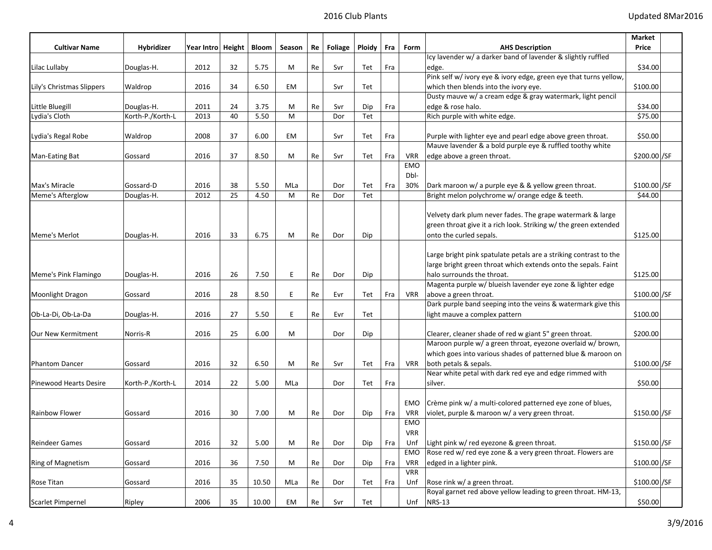|                           |                  |                     |    |       |        |    |         |        |     |            |                                                                   | Market        |  |
|---------------------------|------------------|---------------------|----|-------|--------|----|---------|--------|-----|------------|-------------------------------------------------------------------|---------------|--|
| <b>Cultivar Name</b>      | Hybridizer       | Year Intro   Height |    | Bloom | Season | Re | Foliage | Ploidy | Fra | Form       | <b>AHS Description</b>                                            | Price         |  |
|                           |                  |                     |    |       |        |    |         |        |     |            | Icy lavender w/ a darker band of lavender & slightly ruffled      |               |  |
| Lilac Lullaby             | Douglas-H.       | 2012                | 32 | 5.75  | М      | Re | Svr     | Tet    | Fra |            | edge.                                                             | \$34.00       |  |
|                           |                  |                     |    |       |        |    |         |        |     |            | Pink self w/ ivory eye & ivory edge, green eye that turns yellow, |               |  |
| Lily's Christmas Slippers | Waldrop          | 2016                | 34 | 6.50  | EM     |    | Svr     | Tet    |     |            | which then blends into the ivory eye.                             | \$100.00      |  |
|                           |                  |                     |    |       |        |    |         |        |     |            | Dusty mauve w/ a cream edge & gray watermark, light pencil        |               |  |
| Little Bluegill           | Douglas-H.       | 2011                | 24 | 3.75  | М      | Re | Svr     | Dip    | Fra |            | edge & rose halo.                                                 | \$34.00       |  |
| Lydia's Cloth             | Korth-P./Korth-L | 2013                | 40 | 5.50  | M      |    | Dor     | Tet    |     |            | Rich purple with white edge.                                      | \$75.00       |  |
|                           |                  |                     |    |       |        |    |         |        |     |            |                                                                   |               |  |
| Lydia's Regal Robe        | Waldrop          | 2008                | 37 | 6.00  | EM     |    | Svr     | Tet    | Fra |            | Purple with lighter eye and pearl edge above green throat.        | \$50.00       |  |
|                           |                  |                     |    |       |        |    |         |        |     |            | Mauve lavender & a bold purple eye & ruffled toothy white         |               |  |
| Man-Eating Bat            | Gossard          | 2016                | 37 | 8.50  | М      | Re | Svr     | Tet    | Fra | <b>VRR</b> | edge above a green throat.                                        | \$200.00 / SF |  |
|                           |                  |                     |    |       |        |    |         |        |     | EMO        |                                                                   |               |  |
|                           |                  |                     |    |       |        |    |         |        |     | Dbl-       |                                                                   |               |  |
| Max's Miracle             | Gossard-D        | 2016                | 38 | 5.50  | MLa    |    | Dor     | Tet    | Fra | 30%        | Dark maroon w/ a purple eye & & yellow green throat.              | \$100.00 / SF |  |
| Meme's Afterglow          | Douglas-H.       | 2012                | 25 | 4.50  | M      | Re | Dor     | Tet    |     |            | Bright melon polychrome w/ orange edge & teeth.                   | \$44.00       |  |
|                           |                  |                     |    |       |        |    |         |        |     |            |                                                                   |               |  |
|                           |                  |                     |    |       |        |    |         |        |     |            | Velvety dark plum never fades. The grape watermark & large        |               |  |
|                           |                  |                     |    |       |        |    |         |        |     |            | green throat give it a rich look. Striking w/ the green extended  |               |  |
| Meme's Merlot             | Douglas-H.       | 2016                | 33 | 6.75  | M      | Re | Dor     | Dip    |     |            | onto the curled sepals.                                           | \$125.00      |  |
|                           |                  |                     |    |       |        |    |         |        |     |            |                                                                   |               |  |
|                           |                  |                     |    |       |        |    |         |        |     |            | Large bright pink spatulate petals are a striking contrast to the |               |  |
|                           |                  |                     |    |       |        |    |         |        |     |            | large bright green throat which extends onto the sepals. Faint    |               |  |
| Meme's Pink Flamingo      | Douglas-H.       | 2016                | 26 | 7.50  | E      | Re | Dor     | Dip    |     |            | halo surrounds the throat.                                        | \$125.00      |  |
|                           |                  |                     |    |       |        |    |         |        |     |            | Magenta purple w/ blueish lavender eye zone & lighter edge        |               |  |
| Moonlight Dragon          | Gossard          | 2016                | 28 | 8.50  | E      | Re | Evr     | Tet    | Fra | VRR        | above a green throat.                                             | \$100.00 / SF |  |
|                           |                  |                     |    |       |        |    |         |        |     |            | Dark purple band seeping into the veins & watermark give this     |               |  |
| Ob-La-Di, Ob-La-Da        | Douglas-H.       | 2016                | 27 | 5.50  | E      | Re | Evr     | Tet    |     |            | light mauve a complex pattern                                     | \$100.00      |  |
|                           |                  |                     |    |       |        |    |         |        |     |            |                                                                   |               |  |
| Our New Kermitment        | Norris-R         | 2016                | 25 | 6.00  | м      |    | Dor     | Dip    |     |            | Clearer, cleaner shade of red w giant 5" green throat.            | \$200.00      |  |
|                           |                  |                     |    |       |        |    |         |        |     |            | Maroon purple w/ a green throat, eyezone overlaid w/ brown,       |               |  |
|                           |                  |                     |    |       |        |    |         |        |     |            | which goes into various shades of patterned blue & maroon on      |               |  |
| <b>Phantom Dancer</b>     | Gossard          | 2016                | 32 | 6.50  | М      | Re | Svr     | Tet    | Fra | <b>VRR</b> | both petals & sepals.                                             | \$100.00 / SF |  |
|                           |                  |                     |    |       |        |    |         |        |     |            | Near white petal with dark red eye and edge rimmed with           |               |  |
| Pinewood Hearts Desire    | Korth-P./Korth-L | 2014                | 22 | 5.00  | MLa    |    | Dor     | Tet    | Fra |            | silver.                                                           | \$50.00       |  |
|                           |                  |                     |    |       |        |    |         |        |     |            |                                                                   |               |  |
|                           |                  |                     |    |       |        |    |         |        |     | EMO        | Crème pink w/ a multi-colored patterned eye zone of blues,        |               |  |
| <b>Rainbow Flower</b>     | Gossard          | 2016                | 30 | 7.00  | м      | Re | Dor     | Dip    | Fra | <b>VRR</b> | violet, purple & maroon w/ a very green throat.                   | \$150.00 / SF |  |
|                           |                  |                     |    |       |        |    |         |        |     | <b>EMO</b> |                                                                   |               |  |
|                           |                  |                     |    |       |        |    |         |        |     | <b>VRR</b> |                                                                   |               |  |
| Reindeer Games            | Gossard          | 2016                | 32 | 5.00  | M      | Re | Dor     | Dip    | Fra | Unf        | Light pink w/ red eyezone & green throat.                         | \$150.00 / SF |  |
|                           |                  |                     |    |       |        |    |         |        |     | EMO        | Rose red w/ red eye zone & a very green throat. Flowers are       |               |  |
| Ring of Magnetism         | Gossard          | 2016                | 36 | 7.50  | М      | Re | Dor     | Dip    | Fra | <b>VRR</b> | edged in a lighter pink.                                          | \$100.00 / SF |  |
|                           |                  |                     |    |       |        |    |         |        |     | <b>VRR</b> |                                                                   |               |  |
| Rose Titan                | Gossard          | 2016                | 35 | 10.50 | MLa    | Re | Dor     | Tet    | Fra | Unf        | Rose rink w/ a green throat.                                      | \$100.00 / SF |  |
|                           |                  |                     |    |       |        |    |         |        |     |            | Royal garnet red above yellow leading to green throat. HM-13,     |               |  |
| Scarlet Pimpernel         | Ripley           | 2006                | 35 | 10.00 | EM     | Re | Svr     | Tet    |     | Unf        | <b>NRS-13</b>                                                     | \$50.00       |  |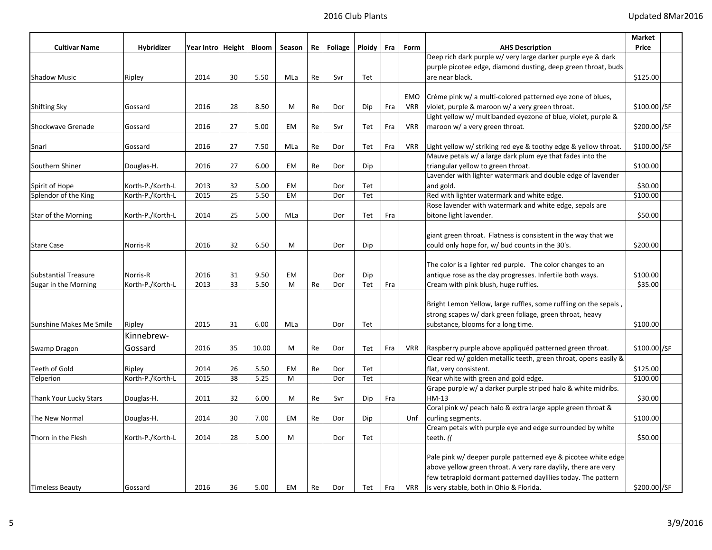|                             |                  |                   |    |       |           |    |         |        |     |            |                                                                  | Market        |
|-----------------------------|------------------|-------------------|----|-------|-----------|----|---------|--------|-----|------------|------------------------------------------------------------------|---------------|
| <b>Cultivar Name</b>        | Hybridizer       | Year Intro Height |    | Bloom | Season    | Re | Foliage | Ploidy | Fra | Form       | <b>AHS Description</b>                                           | Price         |
|                             |                  |                   |    |       |           |    |         |        |     |            | Deep rich dark purple w/ very large darker purple eye & dark     |               |
|                             |                  |                   |    |       |           |    |         |        |     |            | purple picotee edge, diamond dusting, deep green throat, buds    |               |
| <b>Shadow Music</b>         | Ripley           | 2014              | 30 | 5.50  | MLa       | Re | Svr     | Tet    |     |            | are near black.                                                  | \$125.00      |
|                             |                  |                   |    |       |           |    |         |        |     |            |                                                                  |               |
|                             |                  |                   |    |       |           |    |         |        |     | <b>EMO</b> | Crème pink w/ a multi-colored patterned eye zone of blues,       |               |
| <b>Shifting Sky</b>         | Gossard          | 2016              | 28 | 8.50  | M         | Re | Dor     | Dip    | Fra | <b>VRR</b> | violet, purple & maroon w/ a very green throat.                  | \$100.00 / SF |
|                             |                  |                   |    |       |           |    |         |        |     |            | Light yellow w/ multibanded eyezone of blue, violet, purple &    |               |
| Shockwave Grenade           | Gossard          | 2016              | 27 | 5.00  | EM        | Re | Svr     | Tet    | Fra | VRR        | maroon w/ a very green throat.                                   | \$200.00 / SF |
| Snarl                       | Gossard          | 2016              | 27 | 7.50  | MLa       | Re | Dor     | Tet    | Fra | <b>VRR</b> | Light yellow w/ striking red eye & toothy edge & yellow throat.  | \$100.00 /SF  |
|                             |                  |                   |    |       |           |    |         |        |     |            | Mauve petals w/ a large dark plum eye that fades into the        |               |
| Southern Shiner             | Douglas-H.       | 2016              | 27 | 6.00  | EM        | Re | Dor     | Dip    |     |            | triangular yellow to green throat.                               | \$100.00      |
|                             |                  |                   |    |       |           |    |         |        |     |            | Lavender with lighter watermark and double edge of lavender      |               |
| Spirit of Hope              | Korth-P./Korth-L | 2013              | 32 | 5.00  | EM        |    | Dor     | Tet    |     |            | and gold.                                                        | \$30.00       |
| Splendor of the King        | Korth-P./Korth-L | 2015              | 25 | 5.50  | <b>EM</b> |    | Dor     | Tet    |     |            | Red with lighter watermark and white edge.                       | \$100.00      |
|                             |                  |                   |    |       |           |    |         |        |     |            | Rose lavender with watermark and white edge, sepals are          |               |
| Star of the Morning         | Korth-P./Korth-L | 2014              | 25 | 5.00  | MLa       |    | Dor     | Tet    | Fra |            | bitone light lavender.                                           | \$50.00       |
|                             |                  |                   |    |       |           |    |         |        |     |            |                                                                  |               |
|                             |                  |                   |    |       |           |    |         |        |     |            | giant green throat. Flatness is consistent in the way that we    |               |
| <b>Stare Case</b>           | Norris-R         | 2016              | 32 | 6.50  | M         |    | Dor     | Dip    |     |            | could only hope for, w/ bud counts in the 30's.                  | \$200.00      |
|                             |                  |                   |    |       |           |    |         |        |     |            |                                                                  |               |
|                             |                  |                   |    |       |           |    |         |        |     |            | The color is a lighter red purple. The color changes to an       |               |
| <b>Substantial Treasure</b> | Norris-R         | 2016              | 31 | 9.50  | EM        |    | Dor     | Dip    |     |            | antique rose as the day progresses. Infertile both ways.         | \$100.00      |
| Sugar in the Morning        | Korth-P./Korth-L | 2013              | 33 | 5.50  | M         | Re | Dor     | Tet    | Fra |            | Cream with pink blush, huge ruffles.                             | \$35.00       |
|                             |                  |                   |    |       |           |    |         |        |     |            |                                                                  |               |
|                             |                  |                   |    |       |           |    |         |        |     |            | Bright Lemon Yellow, large ruffles, some ruffling on the sepals, |               |
|                             |                  |                   |    |       |           |    |         |        |     |            | strong scapes w/ dark green foliage, green throat, heavy         |               |
| Sunshine Makes Me Smile     | Ripley           | 2015              | 31 | 6.00  | MLa       |    | Dor     | Tet    |     |            | substance, blooms for a long time.                               | \$100.00      |
|                             | Kinnebrew-       |                   |    |       |           |    |         |        |     |            |                                                                  |               |
| Swamp Dragon                | Gossard          | 2016              | 35 | 10.00 | M         | Re | Dor     | Tet    | Fra | VRR        | Raspberry purple above appliquéd patterned green throat.         | \$100.00]/SF  |
|                             |                  |                   |    |       |           |    |         |        |     |            | Clear red w/ golden metallic teeth, green throat, opens easily & |               |
| Teeth of Gold               | Ripley           | 2014              | 26 | 5.50  | EM        | Re | Dor     | Tet    |     |            | flat, very consistent.                                           | \$125.00      |
| Telperion                   | Korth-P./Korth-L | 2015              | 38 | 5.25  | M         |    | Dor     | Tet    |     |            | Near white with green and gold edge.                             | \$100.00      |
|                             |                  |                   |    |       |           |    |         |        |     |            | Grape purple w/ a darker purple striped halo & white midribs.    |               |
| Thank Your Lucky Stars      | Douglas-H.       | 2011              | 32 | 6.00  | M         | Re | Svr     | Dip    | Fra |            | HM-13                                                            | \$30.00       |
|                             |                  |                   |    |       |           |    |         |        |     |            | Coral pink w/ peach halo & extra large apple green throat &      |               |
| The New Normal              | Douglas-H.       | 2014              | 30 | 7.00  | EM        | Re | Dor     | Dip    |     | Unf        | curling segments.                                                | \$100.00      |
|                             |                  |                   |    |       |           |    |         |        |     |            | Cream petals with purple eye and edge surrounded by white        |               |
| Thorn in the Flesh          | Korth-P./Korth-L | 2014              | 28 | 5.00  | M         |    | Dor     | Tet    |     |            | teeth. (                                                         | \$50.00       |
|                             |                  |                   |    |       |           |    |         |        |     |            |                                                                  |               |
|                             |                  |                   |    |       |           |    |         |        |     |            | Pale pink w/ deeper purple patterned eye & picotee white edge    |               |
|                             |                  |                   |    |       |           |    |         |        |     |            | above yellow green throat. A very rare daylily, there are very   |               |
|                             |                  |                   |    |       |           |    |         |        |     |            | few tetraploid dormant patterned daylilies today. The pattern    |               |
| <b>Timeless Beauty</b>      | Gossard          | 2016              | 36 | 5.00  | EM        | Re | Dor     | Tet    | Fra |            | VRR   is very stable, both in Ohio & Florida.                    | \$200.00 / SF |